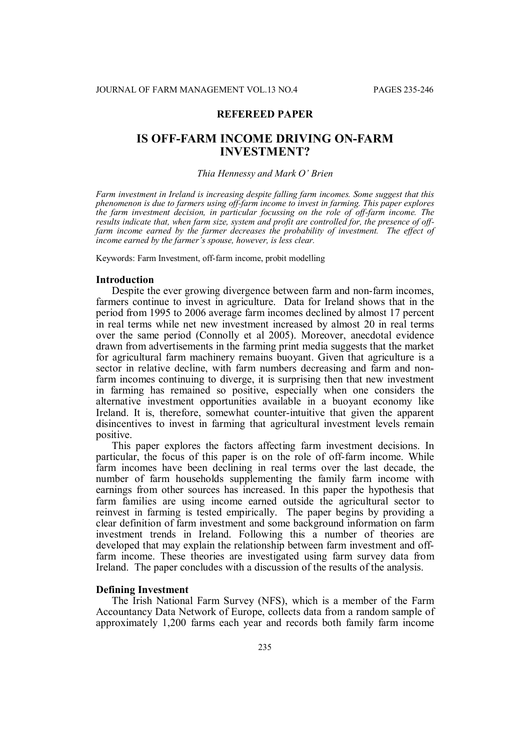## **REFEREED PAPER**

# **IS OFF-FARM INCOME DRIVING ON-FARM INVESTMENT?**

#### *Thia Hennessy and Mark O' Brien*

*Farm investment in Ireland is increasing despite falling farm incomes. Some suggest that this phenomenon is due to farmers using off-farm income to invest in farming. This paper explores the farm investment decision, in particular focussing on the role of off-farm income. The results indicate that, when farm size, system and profit are controlled for, the presence of offfarm income earned by the farmer decreases the probability of investment. The effect of income earned by the farmer's spouse, however, is less clear.*

Keywords: Farm Investment, off-farm income, probit modelling

#### **Introduction**

Despite the ever growing divergence between farm and non-farm incomes, farmers continue to invest in agriculture. Data for Ireland shows that in the period from 1995 to 2006 average farm incomes declined by almost 17 percent in real terms while net new investment increased by almost 20 in real terms over the same period (Connolly et al 2005). Moreover, anecdotal evidence drawn from advertisements in the farming print media suggests that the market for agricultural farm machinery remains buoyant. Given that agriculture is a sector in relative decline, with farm numbers decreasing and farm and nonfarm incomes continuing to diverge, it is surprising then that new investment in farming has remained so positive, especially when one considers the alternative investment opportunities available in a buoyant economy like Ireland. It is, therefore, somewhat counter-intuitive that given the apparent disincentives to invest in farming that agricultural investment levels remain positive.

This paper explores the factors affecting farm investment decisions. In particular, the focus of this paper is on the role of off-farm income. While farm incomes have been declining in real terms over the last decade, the number of farm households supplementing the family farm income with earnings from other sources has increased. In this paper the hypothesis that farm families are using income earned outside the agricultural sector to reinvest in farming is tested empirically. The paper begins by providing a clear definition of farm investment and some background information on farm investment trends in Ireland. Following this a number of theories are developed that may explain the relationship between farm investment and offfarm income. These theories are investigated using farm survey data from Ireland. The paper concludes with a discussion of the results of the analysis.

### **Defining Investment**

The Irish National Farm Survey (NFS), which is a member of the Farm Accountancy Data Network of Europe, collects data from a random sample of approximately 1,200 farms each year and records both family farm income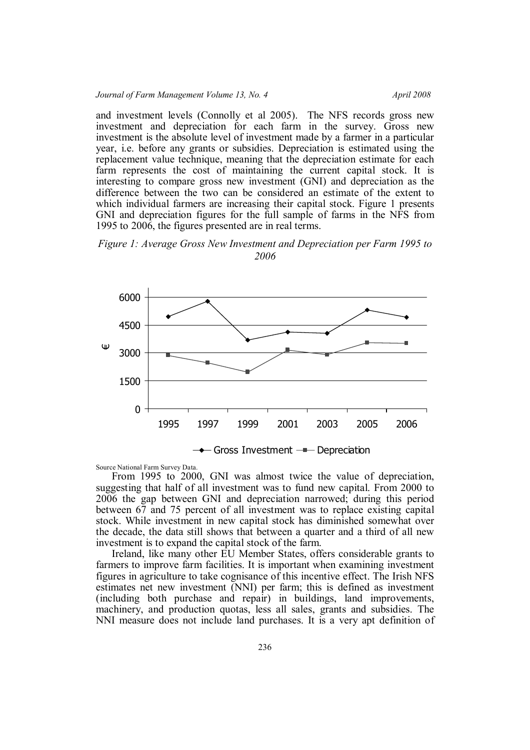and investment levels (Connolly et al 2005). The NFS records gross new investment and depreciation for each farm in the survey. Gross new investment is the absolute level of investment made by a farmer in a particular year, i.e. before any grants or subsidies. Depreciation is estimated using the replacement value technique, meaning that the depreciation estimate for each farm represents the cost of maintaining the current capital stock. It is interesting to compare gross new investment (GNI) and depreciation as the difference between the two can be considered an estimate of the extent to which individual farmers are increasing their capital stock. Figure 1 presents GNI and depreciation figures for the full sample of farms in the NFS from 1995 to 2006, the figures presented are in real terms.

*Figure 1: Average Gross New Investment and Depreciation per Farm 1995 to 2006*



Source National Farm Survey Data.

From 1995 to 2000, GNI was almost twice the value of depreciation, suggesting that half of all investment was to fund new capital. From 2000 to 2006 the gap between GNI and depreciation narrowed; during this period between 67 and 75 percent of all investment was to replace existing capital stock. While investment in new capital stock has diminished somewhat over the decade, the data still shows that between a quarter and a third of all new investment is to expand the capital stock of the farm.

Ireland, like many other EU Member States, offers considerable grants to farmers to improve farm facilities. It is important when examining investment figures in agriculture to take cognisance of this incentive effect. The Irish NFS estimates net new investment (NNI) per farm; this is defined as investment (including both purchase and repair) in buildings, land improvements, machinery, and production quotas, less all sales, grants and subsidies. The NNI measure does not include land purchases. It is a very apt definition of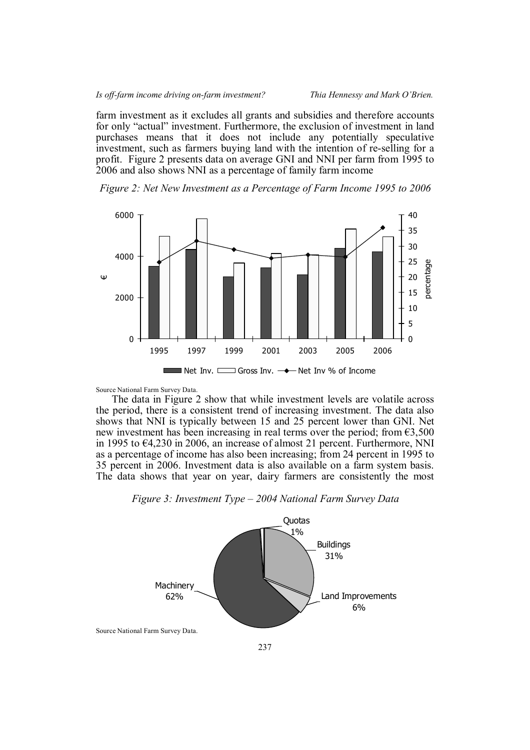#### *Is off-farm income driving on-farm investment? Thia Hennessy and Mark O'Brien.*

farm investment as it excludes all grants and subsidies and therefore accounts for only "actual" investment. Furthermore, the exclusion of investment in land purchases means that it does not include any potentially speculative investment, such as farmers buying land with the intention of re-selling for a profit. Figure 2 presents data on average GNI and NNI per farm from 1995 to 2006 and also shows NNI as a percentage of family farm income





Source National Farm Survey Data.

The data in Figure 2 show that while investment levels are volatile across the period, there is a consistent trend of increasing investment. The data also shows that NNI is typically between 15 and 25 percent lower than GNI. Net new investment has been increasing in real terms over the period; from  $63,500$ in 1995 to €4,230 in 2006, an increase of almost 21 percent. Furthermore, NNI as a percentage of income has also been increasing; from 24 percent in 1995 to 35 percent in 2006. Investment data is also available on a farm system basis. The data shows that year on year, dairy farmers are consistently the most

## *Figure 3: Investment Type – 2004 National Farm Survey Data*

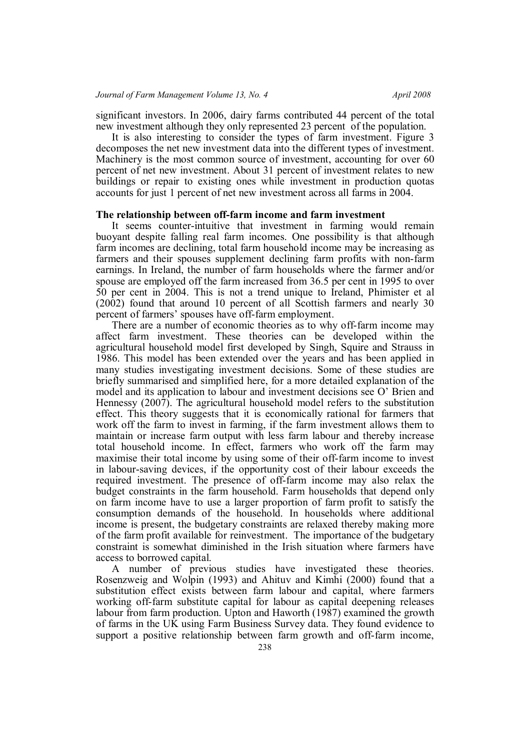significant investors. In 2006, dairy farms contributed 44 percent of the total new investment although they only represented 23 percent of the population.

It is also interesting to consider the types of farm investment. Figure 3 decomposes the net new investment data into the different types of investment. Machinery is the most common source of investment, accounting for over 60 percent of net new investment. About 31 percent of investment relates to new buildings or repair to existing ones while investment in production quotas accounts for just 1 percent of net new investment across all farms in 2004.

### **The relationship between off-farm income and farm investment**

It seems counter-intuitive that investment in farming would remain buoyant despite falling real farm incomes. One possibility is that although farm incomes are declining, total farm household income may be increasing as farmers and their spouses supplement declining farm profits with non-farm earnings. In Ireland, the number of farm households where the farmer and/or spouse are employed off the farm increased from 36.5 per cent in 1995 to over 50 per cent in 2004. This is not a trend unique to Ireland, Phimister et al (2002) found that around 10 percent of all Scottish farmers and nearly 30 percent of farmers' spouses have off-farm employment.

There are a number of economic theories as to why off-farm income may affect farm investment. These theories can be developed within the agricultural household model first developed by Singh, Squire and Strauss in 1986. This model has been extended over the years and has been applied in many studies investigating investment decisions. Some of these studies are briefly summarised and simplified here, for a more detailed explanation of the model and its application to labour and investment decisions see O' Brien and Hennessy (2007). The agricultural household model refers to the substitution effect. This theory suggests that it is economically rational for farmers that work off the farm to invest in farming, if the farm investment allows them to maintain or increase farm output with less farm labour and thereby increase total household income. In effect, farmers who work off the farm may maximise their total income by using some of their off-farm income to invest in labour-saving devices, if the opportunity cost of their labour exceeds the required investment. The presence of off-farm income may also relax the budget constraints in the farm household. Farm households that depend only on farm income have to use a larger proportion of farm profit to satisfy the consumption demands of the household. In households where additional income is present, the budgetary constraints are relaxed thereby making more of the farm profit available for reinvestment. The importance of the budgetary constraint is somewhat diminished in the Irish situation where farmers have access to borrowed capital.

A number of previous studies have investigated these theories. Rosenzweig and Wolpin (1993) and Ahituv and Kimhi (2000) found that a substitution effect exists between farm labour and capital, where farmers working off-farm substitute capital for labour as capital deepening releases labour from farm production. Upton and Haworth (1987) examined the growth of farms in the UK using Farm Business Survey data. They found evidence to support a positive relationship between farm growth and off-farm income,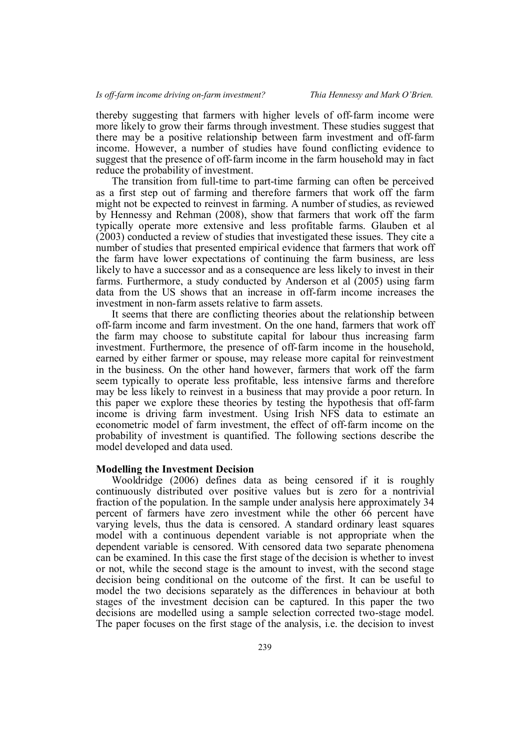thereby suggesting that farmers with higher levels of off-farm income were more likely to grow their farms through investment. These studies suggest that there may be a positive relationship between farm investment and off-farm income. However, a number of studies have found conflicting evidence to suggest that the presence of off-farm income in the farm household may in fact reduce the probability of investment.

The transition from full-time to part-time farming can often be perceived as a first step out of farming and therefore farmers that work off the farm might not be expected to reinvest in farming. A number of studies, as reviewed by Hennessy and Rehman (2008), show that farmers that work off the farm typically operate more extensive and less profitable farms. Glauben et al (2003) conducted a review of studies that investigated these issues. They cite a number of studies that presented empirical evidence that farmers that work off the farm have lower expectations of continuing the farm business, are less likely to have a successor and as a consequence are less likely to invest in their farms. Furthermore, a study conducted by Anderson et al (2005) using farm data from the US shows that an increase in off-farm income increases the investment in non-farm assets relative to farm assets.

It seems that there are conflicting theories about the relationship between off-farm income and farm investment. On the one hand, farmers that work off the farm may choose to substitute capital for labour thus increasing farm investment. Furthermore, the presence of off-farm income in the household, earned by either farmer or spouse, may release more capital for reinvestment in the business. On the other hand however, farmers that work off the farm seem typically to operate less profitable, less intensive farms and therefore may be less likely to reinvest in a business that may provide a poor return. In this paper we explore these theories by testing the hypothesis that off-farm income is driving farm investment. Using Irish NFS data to estimate an econometric model of farm investment, the effect of off-farm income on the probability of investment is quantified. The following sections describe the model developed and data used.

#### **Modelling the Investment Decision**

Wooldridge (2006) defines data as being censored if it is roughly continuously distributed over positive values but is zero for a nontrivial fraction of the population. In the sample under analysis here approximately 34 percent of farmers have zero investment while the other 66 percent have varying levels, thus the data is censored. A standard ordinary least squares model with a continuous dependent variable is not appropriate when the dependent variable is censored. With censored data two separate phenomena can be examined. In this case the first stage of the decision is whether to invest or not, while the second stage is the amount to invest, with the second stage decision being conditional on the outcome of the first. It can be useful to model the two decisions separately as the differences in behaviour at both stages of the investment decision can be captured. In this paper the two decisions are modelled using a sample selection corrected two-stage model. The paper focuses on the first stage of the analysis, i.e. the decision to invest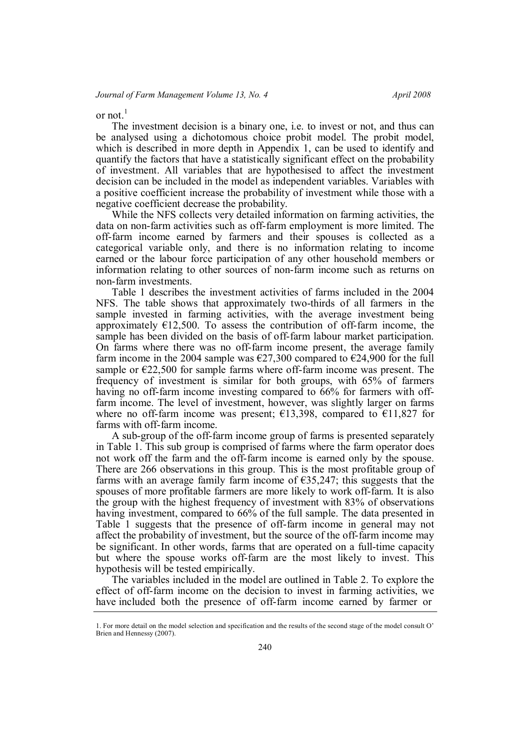or not. $<sup>1</sup>$ </sup>

The investment decision is a binary one, i.e. to invest or not, and thus can be analysed using a dichotomous choice probit model. The probit model, which is described in more depth in Appendix 1, can be used to identify and quantify the factors that have a statistically significant effect on the probability of investment. All variables that are hypothesised to affect the investment decision can be included in the model as independent variables. Variables with a positive coefficient increase the probability of investment while those with a negative coefficient decrease the probability.

While the NFS collects very detailed information on farming activities, the data on non-farm activities such as off-farm employment is more limited. The off-farm income earned by farmers and their spouses is collected as a categorical variable only, and there is no information relating to income earned or the labour force participation of any other household members or information relating to other sources of non-farm income such as returns on non-farm investments.

Table 1 describes the investment activities of farms included in the 2004 NFS. The table shows that approximately two-thirds of all farmers in the sample invested in farming activities, with the average investment being approximately  $E12,500$ . To assess the contribution of off-farm income, the sample has been divided on the basis of off-farm labour market participation. On farms where there was no off-farm income present, the average family farm income in the 2004 sample was  $\epsilon$ 27,300 compared to  $\epsilon$ 24,900 for the full sample or  $\epsilon$ 22,500 for sample farms where off-farm income was present. The frequency of investment is similar for both groups, with 65% of farmers having no off-farm income investing compared to 66% for farmers with offfarm income. The level of investment, however, was slightly larger on farms where no off-farm income was present;  $\epsilon$ 13,398, compared to  $\epsilon$ 11,827 for farms with off-farm income.

A sub-group of the off-farm income group of farms is presented separately in Table 1. This sub group is comprised of farms where the farm operator does not work off the farm and the off-farm income is earned only by the spouse. There are 266 observations in this group. This is the most profitable group of farms with an average family farm income of  $\epsilon$ 35,247; this suggests that the spouses of more profitable farmers are more likely to work off-farm. It is also the group with the highest frequency of investment with 83% of observations having investment, compared to 66% of the full sample. The data presented in Table 1 suggests that the presence of off-farm income in general may not affect the probability of investment, but the source of the off-farm income may be significant. In other words, farms that are operated on a full-time capacity but where the spouse works off-farm are the most likely to invest. This hypothesis will be tested empirically.

The variables included in the model are outlined in Table 2. To explore the effect of off-farm income on the decision to invest in farming activities, we have included both the presence of off-farm income earned by farmer or

<sup>1.</sup> For more detail on the model selection and specification and the results of the second stage of the model consult O' Brien and Hennessy (2007).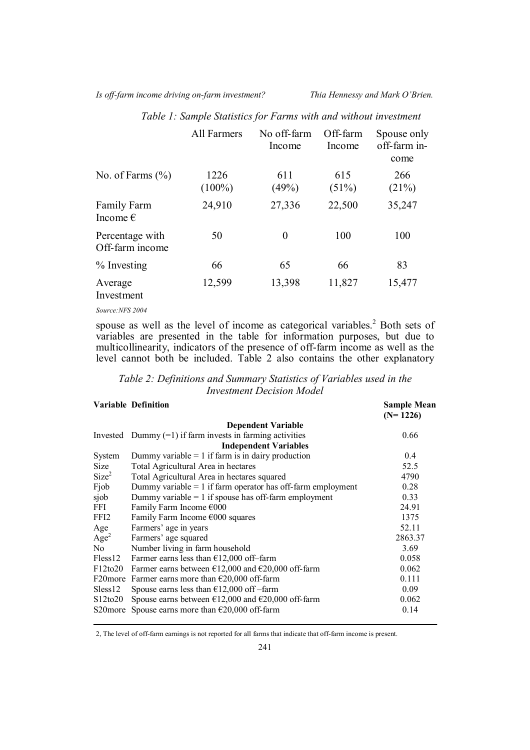*Is off-farm income driving on-farm investment? Thia Hennessy and Mark O'Brien.*

|                                         | <b>All Farmers</b> | No off-farm<br>Income | Off-farm<br>Income | Spouse only<br>off-farm in-<br>come |
|-----------------------------------------|--------------------|-----------------------|--------------------|-------------------------------------|
| No. of Farms $(\% )$                    | 1226<br>$(100\%)$  | 611<br>(49%)          | 615<br>(51%)       | 266<br>(21%)                        |
| <b>Family Farm</b><br>Income $\epsilon$ | 24,910             | 27,336                | 22,500             | 35,247                              |
| Percentage with<br>Off-farm income      | 50                 | $\theta$              | 100                | 100                                 |
| $%$ Investing                           | 66                 | 65                    | 66                 | 83                                  |
| Average<br>Investment                   | 12,599             | 13,398                | 11,827             | 15,477                              |

*Table 1: Sample Statistics for Farms with and without investment*

*Source:NFS 2004*

spouse as well as the level of income as categorical variables.<sup>2</sup> Both sets of variables are presented in the table for information purposes, but due to multicollinearity, indicators of the presence of off-farm income as well as the level cannot both be included. Table 2 also contains the other explanatory

*Table 2: Definitions and Summary Statistics of Variables used in the Investment Decision Model*

|                     | <b>Variable Definition</b>                                            | <b>Sample Mean</b><br>$(N=1226)$ |
|---------------------|-----------------------------------------------------------------------|----------------------------------|
|                     | <b>Dependent Variable</b>                                             |                                  |
| Invested            | Dummy $(=1)$ if farm invests in farming activities                    | 0.66                             |
|                     | <b>Independent Variables</b>                                          |                                  |
| System              | Dummy variable $= 1$ if farm is in dairy production                   | 0.4                              |
| <b>Size</b>         | Total Agricultural Area in hectares                                   | 52.5                             |
| Size <sup>2</sup>   | Total Agricultural Area in hectares squared                           | 4790                             |
| Fjob                | Dummy variable $= 1$ if farm operator has off-farm employment         | 0.28                             |
| sjob                | Dummy variable $= 1$ if spouse has off-farm employment                | 0.33                             |
| FFI.                | Family Farm Income €000                                               | 24.91                            |
| FFI2                | Family Farm Income $\epsilon$ 000 squares                             | 1375                             |
| Age                 | Farmers' age in years                                                 | 52.11                            |
| Age <sup>2</sup>    | Farmers' age squared                                                  | 2863.37                          |
| No.                 | Number living in farm household                                       | 3.69                             |
| Fless <sub>12</sub> | Farmer earns less than $£12,000$ off-farm                             | 0.058                            |
| F12to20             | Farmer earns between $\epsilon$ 12,000 and $\epsilon$ 20,000 off-farm | 0.062                            |
| F20more             | Farmer earns more than $\epsilon$ 20,000 off-farm                     | 0.111                            |
| Sless12             | Spouse earns less than $£12,000$ off -farm                            | 0.09                             |
| $S12$ to $20$       | Spouse earns between $\epsilon$ 12,000 and $\epsilon$ 20,000 off-farm | 0.062                            |
| S20more             | Spouse earns more than $E20,000$ off-farm                             | 0.14                             |

2, The level of off-farm earnings is not reported for all farms that indicate that off-farm income is present.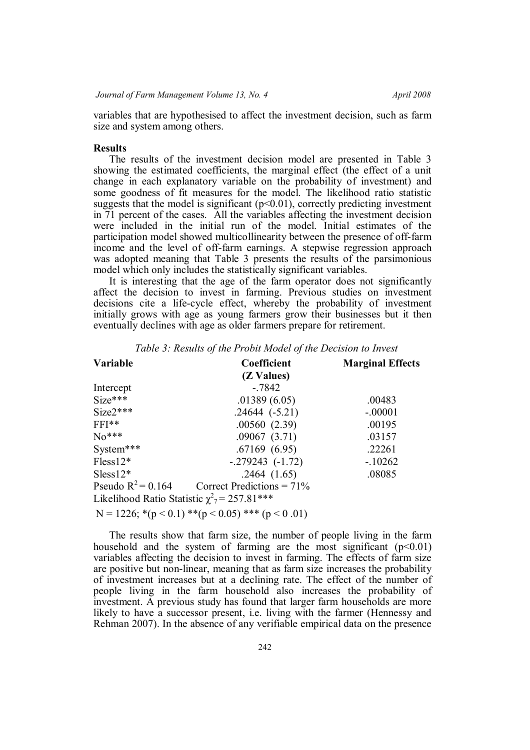variables that are hypothesised to affect the investment decision, such as farm size and system among others.

### **Results**

The results of the investment decision model are presented in Table 3 showing the estimated coefficients, the marginal effect (the effect of a unit change in each explanatory variable on the probability of investment) and some goodness of fit measures for the model. The likelihood ratio statistic suggests that the model is significant  $(p<0.01)$ , correctly predicting investment in 71 percent of the cases. All the variables affecting the investment decision were included in the initial run of the model. Initial estimates of the participation model showed multicollinearity between the presence of off-farm income and the level of off-farm earnings. A stepwise regression approach was adopted meaning that Table 3 presents the results of the parsimonious model which only includes the statistically significant variables.

It is interesting that the age of the farm operator does not significantly affect the decision to invest in farming. Previous studies on investment decisions cite a life-cycle effect, whereby the probability of investment initially grows with age as young farmers grow their businesses but it then eventually declines with age as older farmers prepare for retirement.

| Variable                                                     | Coefficient                                                  | <b>Marginal Effects</b> |
|--------------------------------------------------------------|--------------------------------------------------------------|-------------------------|
|                                                              | (Z Values)                                                   |                         |
| Intercept                                                    | $-7842$                                                      |                         |
| $Size***$                                                    | .01389(6.05)                                                 | .00483                  |
| $Size2***$                                                   | $.24644(-5.21)$                                              | $-.00001$               |
| $FFI**$                                                      | .00560(2.39)                                                 | .00195                  |
| $No***$                                                      | .09067(3.71)                                                 | .03157                  |
| System***                                                    | .67169(6.95)                                                 | .22261                  |
| $Fless12*$                                                   | $-279243$ $(-1.72)$                                          | $-10262$                |
| $Sless12*$                                                   | .2464(1.65)                                                  | .08085                  |
| Pseudo $R^2 = 0.164$                                         | Correct Predictions = $71\%$                                 |                         |
| Likelihood Ratio Statistic $\chi^2$ <sub>7</sub> = 257.81*** |                                                              |                         |
|                                                              | N = 1226; *( $p < 0.1$ ) **( $p < 0.05$ ) *** ( $p < 0.01$ ) |                         |

*Table 3: Results of the Probit Model of the Decision to Invest*

The results show that farm size, the number of people living in the farm household and the system of farming are the most significant  $(p<0.01)$ variables affecting the decision to invest in farming. The effects of farm size are positive but non-linear, meaning that as farm size increases the probability of investment increases but at a declining rate. The effect of the number of people living in the farm household also increases the probability of investment. A previous study has found that larger farm households are more likely to have a successor present, i.e. living with the farmer (Hennessy and Rehman 2007). In the absence of any verifiable empirical data on the presence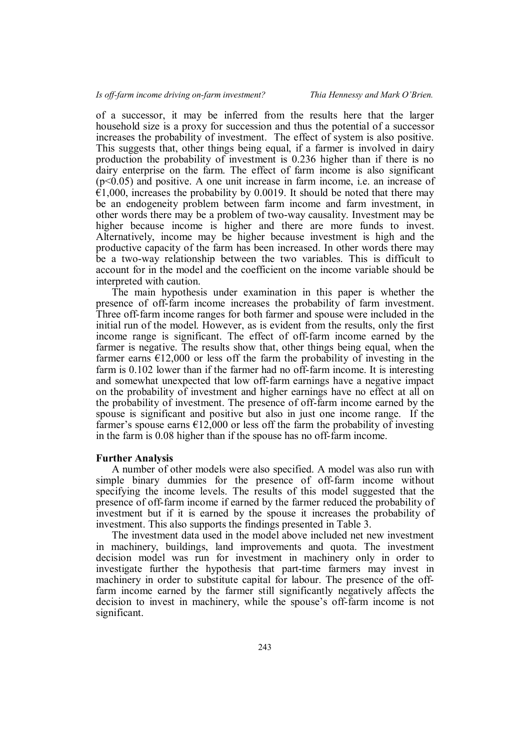of a successor, it may be inferred from the results here that the larger household size is a proxy for succession and thus the potential of a successor increases the probability of investment. The effect of system is also positive. This suggests that, other things being equal, if a farmer is involved in dairy production the probability of investment is 0.236 higher than if there is no dairy enterprise on the farm. The effect of farm income is also significant  $(p<0.05)$  and positive. A one unit increase in farm income, i.e. an increase of  $€1,000$ , increases the probability by 0.0019. It should be noted that there may be an endogeneity problem between farm income and farm investment, in other words there may be a problem of two-way causality. Investment may be higher because income is higher and there are more funds to invest. Alternatively, income may be higher because investment is high and the productive capacity of the farm has been increased. In other words there may be a two-way relationship between the two variables. This is difficult to account for in the model and the coefficient on the income variable should be interpreted with caution.

The main hypothesis under examination in this paper is whether the presence of off-farm income increases the probability of farm investment. Three off-farm income ranges for both farmer and spouse were included in the initial run of the model. However, as is evident from the results, only the first income range is significant. The effect of off-farm income earned by the farmer is negative. The results show that, other things being equal, when the farmer earns  $\epsilon$ 12,000 or less off the farm the probability of investing in the farm is 0.102 lower than if the farmer had no off-farm income. It is interesting and somewhat unexpected that low off-farm earnings have a negative impact on the probability of investment and higher earnings have no effect at all on the probability of investment. The presence of off-farm income earned by the spouse is significant and positive but also in just one income range. If the farmer's spouse earns  $\epsilon$ 12,000 or less off the farm the probability of investing in the farm is 0.08 higher than if the spouse has no off-farm income.

## **Further Analysis**

A number of other models were also specified. A model was also run with simple binary dummies for the presence of off-farm income without specifying the income levels. The results of this model suggested that the presence of off-farm income if earned by the farmer reduced the probability of investment but if it is earned by the spouse it increases the probability of investment. This also supports the findings presented in Table 3.

The investment data used in the model above included net new investment in machinery, buildings, land improvements and quota. The investment decision model was run for investment in machinery only in order to investigate further the hypothesis that part-time farmers may invest in machinery in order to substitute capital for labour. The presence of the offfarm income earned by the farmer still significantly negatively affects the decision to invest in machinery, while the spouse's off-farm income is not significant.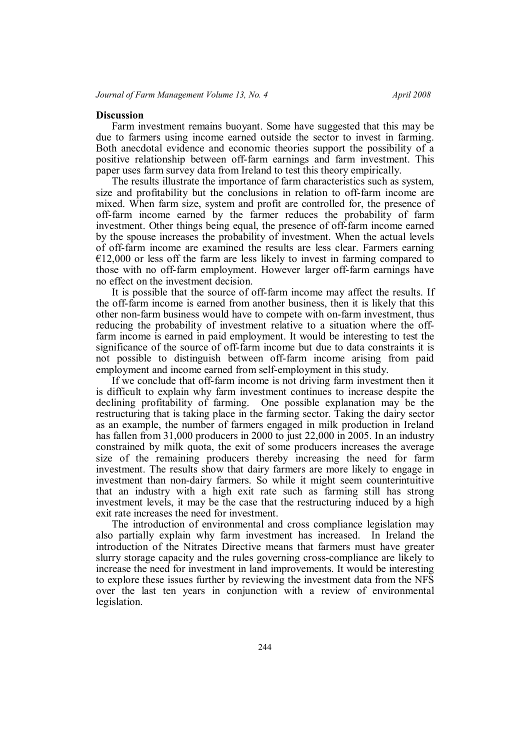## **Discussion**

Farm investment remains buoyant. Some have suggested that this may be due to farmers using income earned outside the sector to invest in farming. Both anecdotal evidence and economic theories support the possibility of a positive relationship between off-farm earnings and farm investment. This paper uses farm survey data from Ireland to test this theory empirically.

The results illustrate the importance of farm characteristics such as system, size and profitability but the conclusions in relation to off-farm income are mixed. When farm size, system and profit are controlled for, the presence of off-farm income earned by the farmer reduces the probability of farm investment. Other things being equal, the presence of off-farm income earned by the spouse increases the probability of investment. When the actual levels of off-farm income are examined the results are less clear. Farmers earning  $€12,000$  or less off the farm are less likely to invest in farming compared to those with no off-farm employment. However larger off-farm earnings have no effect on the investment decision.

It is possible that the source of off-farm income may affect the results. If the off-farm income is earned from another business, then it is likely that this other non-farm business would have to compete with on-farm investment, thus reducing the probability of investment relative to a situation where the offfarm income is earned in paid employment. It would be interesting to test the significance of the source of off-farm income but due to data constraints it is not possible to distinguish between off-farm income arising from paid employment and income earned from self-employment in this study.

If we conclude that off-farm income is not driving farm investment then it is difficult to explain why farm investment continues to increase despite the declining profitability of farming. One possible explanation may be the restructuring that is taking place in the farming sector. Taking the dairy sector as an example, the number of farmers engaged in milk production in Ireland has fallen from 31,000 producers in 2000 to just 22,000 in 2005. In an industry constrained by milk quota, the exit of some producers increases the average size of the remaining producers thereby increasing the need for farm investment. The results show that dairy farmers are more likely to engage in investment than non-dairy farmers. So while it might seem counterintuitive that an industry with a high exit rate such as farming still has strong investment levels, it may be the case that the restructuring induced by a high exit rate increases the need for investment.

The introduction of environmental and cross compliance legislation may also partially explain why farm investment has increased. In Ireland the introduction of the Nitrates Directive means that farmers must have greater slurry storage capacity and the rules governing cross-compliance are likely to increase the need for investment in land improvements. It would be interesting to explore these issues further by reviewing the investment data from the NFS over the last ten years in conjunction with a review of environmental legislation.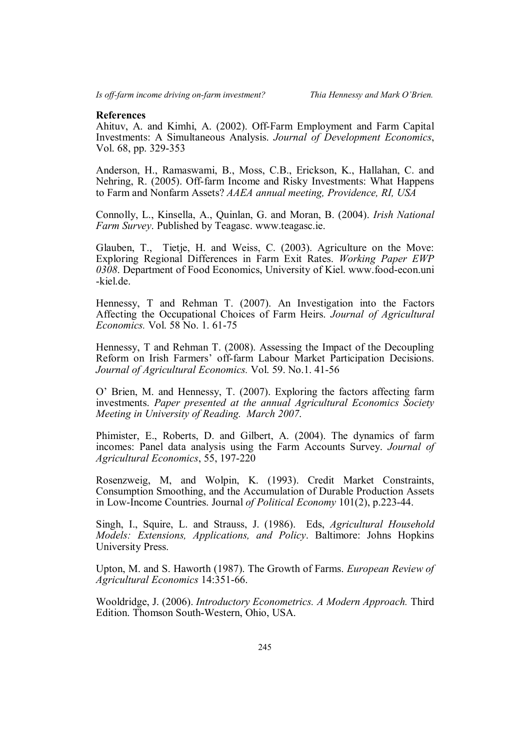### **References**

Ahituv, A. and Kimhi, A. (2002). Off-Farm Employment and Farm Capital Investments: A Simultaneous Analysis. *Journal of Development Economics*, Vol. 68, pp. 329-353

Anderson, H., Ramaswami, B., Moss, C.B., Erickson, K., Hallahan, C. and Nehring, R. (2005). Off-farm Income and Risky Investments: What Happens to Farm and Nonfarm Assets? *AAEA annual meeting, Providence, RI, USA*

Connolly, L., Kinsella, A., Quinlan, G. and Moran, B. (2004). *Irish National Farm Survey*. Published by Teagasc. www.teagasc.ie.

Glauben, T., Tietje, H. and Weiss, C. (2003). Agriculture on the Move: Exploring Regional Differences in Farm Exit Rates. *Working Paper EWP 0308*. Department of Food Economics, University of Kiel. www.food-econ.uni -kiel.de.

Hennessy, T and Rehman T. (2007). An Investigation into the Factors Affecting the Occupational Choices of Farm Heirs. *Journal of Agricultural Economics.* Vol. 58 No. 1. 61-75

Hennessy, T and Rehman T. (2008). Assessing the Impact of the Decoupling Reform on Irish Farmers' off-farm Labour Market Participation Decisions. *Journal of Agricultural Economics.* Vol. 59. No.1. 41-56

O' Brien, M. and Hennessy, T. (2007). Exploring the factors affecting farm investments. *Paper presented at the annual Agricultural Economics Society Meeting in University of Reading. March 2007*.

Phimister, E., Roberts, D. and Gilbert, A. (2004). The dynamics of farm incomes: Panel data analysis using the Farm Accounts Survey. *Journal of Agricultural Economics*, 55, 197-220

Rosenzweig, M, and Wolpin, K. (1993). Credit Market Constraints, Consumption Smoothing, and the Accumulation of Durable Production Assets in Low-Income Countries. Journal *of Political Economy* 101(2), p.223-44.

Singh, I., Squire, L. and Strauss, J. (1986). Eds, *Agricultural Household Models: Extensions, Applications, and Policy*. Baltimore: Johns Hopkins University Press.

Upton, M. and S. Haworth (1987). The Growth of Farms. *European Review of Agricultural Economics* 14:351-66.

Wooldridge, J. (2006). *Introductory Econometrics. A Modern Approach.* Third Edition. Thomson South-Western, Ohio, USA.